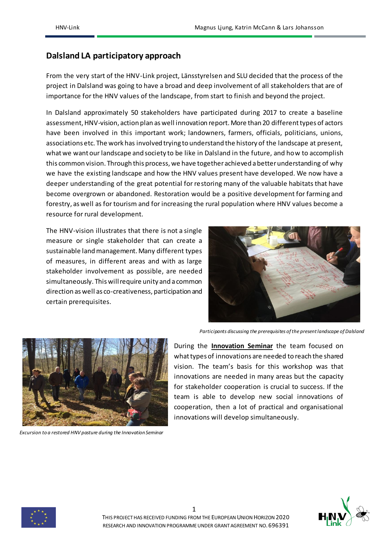## **Dalsland LA participatory approach**

From the very start of the HNV-Link project, Länsstyrelsen and SLU decided that the process of the project in Dalsland was going to have a broad and deep involvement of all stakeholders that are of importance for the HNV values of the landscape, from start to finish and beyond the project.

In Dalsland approximately 50 stakeholders have participated during 2017 to create a baseline assessment, HNV-vision, action plan as well innovation report. More than 20 different types of actors have been involved in this important work; landowners, farmers, officials, politicians, unions, associations etc. The work has involved trying to understand the history of the landscape at present, what we want our landscape and society to be like in Dalsland in the future, and how to accomplish this common vision. Through this process, we have together achieved a better understanding of why we have the existing landscape and how the HNV values present have developed. We now have a deeper understanding of the great potential for restoring many of the valuable habitats that have become overgrown or abandoned. Restoration would be a positive development for farming and forestry, as well as for tourism and for increasing the rural population where HNV values become a resource for rural development.

The HNV-vision illustrates that there is not a single measure or single stakeholder that can create a sustainable land management. Many different types of measures, in different areas and with as large stakeholder involvement as possible, are needed simultaneously. This will require unity and a common direction as well as co-creativeness, participation and certain prerequisites.



*Participants discussing the prerequisites of the present landscape of Dalsland*



*Excursion to a restored HNV pasture during the Innovation Seminar*

During the **Innovation Seminar** the team focused on what types of innovations are needed to reach the shared vision. The team's basis for this workshop was that innovations are needed in many areas but the capacity for stakeholder cooperation is crucial to success. If the team is able to develop new social innovations of cooperation, then a lot of practical and organisational innovations will develop simultaneously.